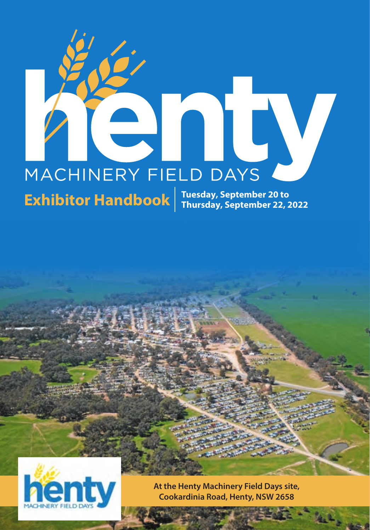# ERY FIELD DAYS MACHINERY FIELD DAYS

**Exhibitor Handbook**  $\left| \begin{array}{l}\text{Tuesday, September 20 to} \\
\text{Thursday, September 22, 2022}\n\end{array}\right|$ 



**At the Henty Machinery Field Days site, Cookardinia Road, Henty, NSW 2658**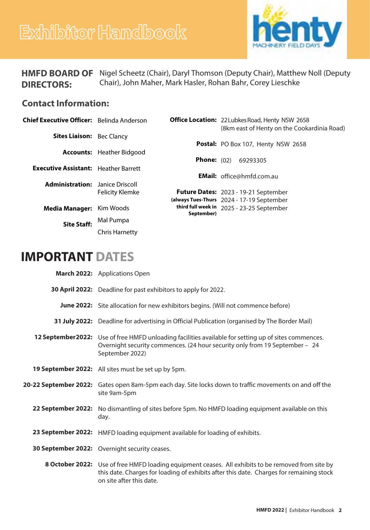# **Exhibitor Handbook**



|                   | <b>HMFD BOARD OF</b> Nigel Scheetz (Chair), Daryl Thomson (Deputy Chair), Matthew Noll (Deputy |
|-------------------|------------------------------------------------------------------------------------------------|
| <b>DIRECTORS:</b> | Chair), John Maher, Mark Hasler, Rohan Bahr, Corey Lieschke                                    |

# **Contact Information:**

| Chief Executive Officer: Belinda Anderson   |                        |                      | <b>Office Location:</b> 22 Lubkes Road, Henty NSW 2658<br>(8km east of Henty on the Cookardinia Road) |
|---------------------------------------------|------------------------|----------------------|-------------------------------------------------------------------------------------------------------|
| <b>Sites Liaison:</b> Bec Clancy            |                        |                      | Postal: PO Box 107, Henty NSW 2658                                                                    |
| Accounts:                                   | Heather Bidgood        |                      |                                                                                                       |
| <b>Executive Assistant:</b> Heather Barrett |                        | <b>Phone:</b> $(02)$ | 69293305                                                                                              |
| <b>Administration:</b>                      | Janice Driscoll        |                      | <b>EMail:</b> office@hmfd.com.au                                                                      |
|                                             | <b>Felicity Klemke</b> |                      | Future Dates: 2023 - 19-21 September<br>(always Tues-Thurs 2024 - 17-19 September                     |
| <b>Media Manager:</b>                       | Kim Woods              | September)           | third full week in 2025 - 23-25 September                                                             |
| <b>Site Staff:</b>                          | Mal Pumpa              |                      |                                                                                                       |
|                                             | <b>Chris Harnetty</b>  |                      |                                                                                                       |

# **IMPORTANT DATES**

| March 2022: Applications Open                                                                                                                                                                                             |  |  |
|---------------------------------------------------------------------------------------------------------------------------------------------------------------------------------------------------------------------------|--|--|
| 30 April 2022: Deadline for past exhibitors to apply for 2022.                                                                                                                                                            |  |  |
| <b>June 2022:</b> Site allocation for new exhibitors begins. (Will not commence before)                                                                                                                                   |  |  |
| <b>31 July 2022:</b> Deadline for advertising in Official Publication (organised by The Border Mail)                                                                                                                      |  |  |
| 12 September 2022: Use of free HMFD unloading facilities available for setting up of sites commences.<br>Overnight security commences. (24 hour security only from 19 September - 24<br>September 2022)                   |  |  |
| 19 September 2022: All sites must be set up by 5pm.                                                                                                                                                                       |  |  |
| 20-22 September 2022: Gates open 8am-5pm each day. Site locks down to traffic movements on and off the<br>site 9am-5pm                                                                                                    |  |  |
| 22 September 2022: No dismantling of sites before 5pm. No HMFD loading equipment available on this<br>day.                                                                                                                |  |  |
| 23 September 2022: HMFD loading equipment available for loading of exhibits.                                                                                                                                              |  |  |
| 30 September 2022: Overnight security ceases.                                                                                                                                                                             |  |  |
| 8 October 2022: Use of free HMFD loading equipment ceases. All exhibits to be removed from site by<br>this date. Charges for loading of exhibits after this date. Charges for remaining stock<br>on site after this date. |  |  |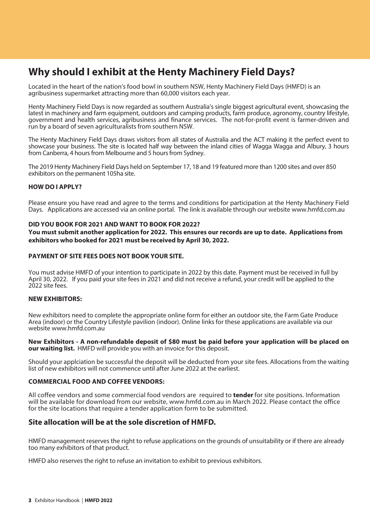# **Why should I exhibit at the Henty Machinery Field Days?**

Located in the heart of the nation's food bowl in southern NSW, Henty Machinery Field Days (HMFD) is an agribusiness supermarket attracting more than 60,000 visitors each year.

Henty Machinery Field Days is now regarded as southern Australia's single biggest agricultural event, showcasing the latest in machinery and farm equipment, outdoors and camping products, farm produce, agronomy, country lifestyle, government and health services, agribusiness and finance services. The not-for-profit event is farmer-driven and run by a board of seven agriculturalists from southern NSW.

The Henty Machinery Field Days draws visitors from all states of Australia and the ACT making it the perfect event to showcase your business. The site is located half way between the inland cities of Wagga Wagga and Albury, 3 hours from Canberra, 4 hours from Melbourne and 5 hours from Sydney.

The 2019 Henty Machinery Field Days held on September 17, 18 and 19 featured more than 1200 sites and over 850 exhibitors on the permanent 105ha site.

### **HOW DO I APPLY?**

Please ensure you have read and agree to the terms and conditions for participation at the Henty Machinery Field Days. Applications are accessed via an online portal. The link is available through our website www.hmfd.com.au

### **DID YOU BOOK FOR 2021 AND WANT TO BOOK FOR 2022?**

**You must submit another application for 2022. This ensures our records are up to date. Applications from exhibitors who booked for 2021 must be received by April 30, 2022.** 

### **PAYMENT OF SITE FEES DOES NOT BOOK YOUR SITE.**

You must advise HMFD of your intention to participate in 2022 by this date. Payment must be received in full by April 30, 2022. If you paid your site fees in 2021 and did not receive a refund, your credit will be applied to the 2022 site fees.

### **NEW EXHIBITORS:**

New exhibitors need to complete the appropriate online form for either an outdoor site, the Farm Gate Produce Area (indoor) or the Country Lifestyle pavilion (indoor). Online links for these applications are available via our website www.hmfd.com.au

### **New Exhibitors - A non-refundable deposit of \$80 must be paid before your application will be placed on our waiting list.** HMFD will provide you with an invoice for this deposit.

Should your applciation be successful the deposit will be deducted from your site fees. Allocations from the waiting list of new exhibitors will not commence until after June 2022 at the earliest.

### **COMMERCIAL FOOD AND COFFEE VENDORS:**

All coffee vendors and some commercial food vendors are required to **tender** for site positions. Information will be available for download from our website, www.hmfd.com.au in March 2022. Please contact the office for the site locations that require a tender application form to be submitted.

### **Site allocation will be at the sole discretion of HMFD.**

HMFD management reserves the right to refuse applications on the grounds of unsuitability or if there are already too many exhibitors of that product.

HMFD also reserves the right to refuse an invitation to exhibit to previous exhibitors.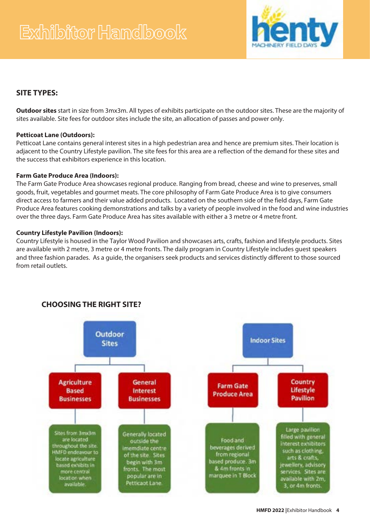

### **SITE TYPES:**

**Outdoor sites** start in size from 3mx3m. All types of exhibits participate on the outdoor sites. These are the majority of sites available. Site fees for outdoor sites include the site, an allocation of passes and power only.

### **Petticoat Lane (Outdoors):**

Petticoat Lane contains general interest sites in a high pedestrian area and hence are premium sites. Their location is adjacent to the Country Lifestyle pavilion. The site fees for this area are a reflection of the demand for these sites and the success that exhibitors experience in this location.

### **Farm Gate Produce Area (Indoors):**

The Farm Gate Produce Area showcases regional produce. Ranging from bread, cheese and wine to preserves, small goods, fruit, vegetables and gourmet meats. The core philosophy of Farm Gate Produce Area is to give consumers direct access to farmers and their value added products. Located on the southern side of the field days, Farm Gate Produce Area features cooking demonstrations and talks by a variety of people involved in the food and wine industries over the three days. Farm Gate Produce Area has sites available with either a 3 metre or 4 metre front.

### **Country Lifestyle Pavilion (Indoors):**

Country Lifestyle is housed in the Taylor Wood Pavilion and showcases arts, crafts, fashion and lifestyle products. Sites are available with 2 metre, 3 metre or 4 metre fronts. The daily program in Country Lifestyle includes guest speakers and three fashion parades. As a guide, the organisers seek products and services distinctly different to those sourced from retail outlets.



## **CHOOSING THE RIGHT SITE?**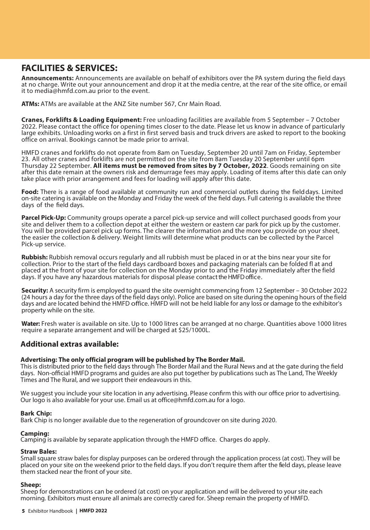# **FACILITIES & SERVICES:**

**Announcements:** Announcements are available on behalf of exhibitors over the PA system during the field days at no charge. Write out your announcement and drop it at the media centre, at the rear of the site office, or email it to media@hmfd.com.au prior to the event.

**ATMs:** ATMs are available at the ANZ Site number 567, Cnr Main Road.

**Cranes, Forklifts & Loading Equipment:** Free unloading facilities are available from 5 September – 7 October 2022. Please contact the office for opening times closer to the date. Please let us know in advance of particularly large exhibits. Unloading works on a first in first served basis and truck drivers are asked to report to the booking office on arrival. Bookings cannot be made prior to arrival.

HMFD cranes and forklifts do not operate from 8am on Tuesday, September 20 until 7am on Friday, September 23. All other cranes and forklifts are not permitted on the site from 8am Tuesday 20 September until 6pm Thursday 22 September. **All items must be removed from sites by 7 October, 2022**. Goods remaining on site after this date remain at the owners risk and demurrage fees may apply. Loading of items after this date can only take place with prior arrangement and fees for loading will apply after this date.

**Food:** There is a range of food available at community run and commercial outlets during the field days. Limited on-site catering is available on the Monday and Friday the week of the field days. Full catering is available the three days of the field days.

**Parcel Pick-Up:** Community groups operate a parcel pick-up service and will collect purchased goods from your site and deliver them to a collection depot at either the western or eastern car park for pick up by the customer. You will be provided parcel pick up forms. The clearer the information and the more you provide on your sheet, the easier the collection & delivery. Weight limits will determine what products can be collected by the Parcel Pick-up service.

**Rubbish:** Rubbish removal occurs regularly and all rubbish must be placed in or at the bins near your site for collection. Prior to the start of the field days cardboard boxes and packaging materials can be folded fl at and placed at the front of your site for collection on the Monday prior to and the Friday immediately after the field days. If you have any hazardous materials for disposal please contact the HMFD office.

**Security:** A security firm is employed to guard the site overnight commencing from 12 September - 30 October 2022 (24 hours a day for the three days of the field days only). Police are based on site during the opening hours of the field days and are located behind the HMFD office. HMFD will not be held liable for any loss or damage to the exhibitor's property while on the site.

**Water:** Fresh water is available on site. Up to 1000 litres can be arranged at no charge. Quantities above 1000 litres require a separate arrangement and will be charged at \$25/1000L.

### **Additional extras available:**

### **Advertising: The only official program will be published by The Border Mail.**

This is distributed prior to the field days through The Border Mail and the Rural News and at the gate during the field days. Non-official HMFD programs and guides are also put together by publications such as The Land, The Weekly Times and The Rural, and we support their endeavours in this.

We suggest you include your site location in any advertising. Please confirm this with our office prior to advertising. Our logo is also available for your use. Email us at office@hmfd.com.au for a logo.

### **Bark Chip:**

Bark Chip is no longer available due to the regeneration of groundcover on site during 2020.

### **Camping:**

Camping is available by separate application through the HMFD office. Charges do apply.

### **Straw Bales:**

Small square straw bales for display purposes can be ordered through the application process (at cost). They will be placed on your site on the weekend prior to the field days. If you don't require them after the field days, please leave them stacked near the front of your site.

### **Sheep:**

Sheep for demonstrations can be ordered (at cost) on your application and will be delivered to your site each morning. Exhibitors must ensure all animals are correctly cared for. Sheep remain the property of HMFD.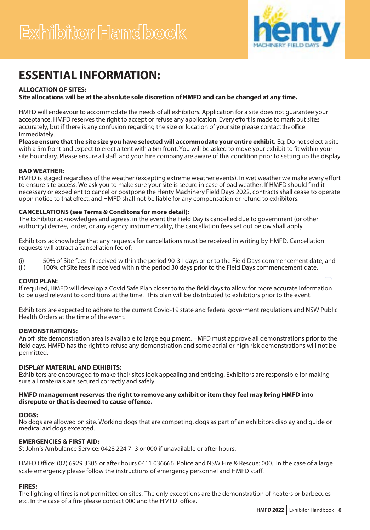

# **ESSENTIAL INFORMATION:**

### **ALLOCATION OF SITES:**

**Site allocations will be at the absolute sole discretion of HMFD and can be changed at any time.** 

HMFD will endeavour to accommodate the needs of all exhibitors. Application for a site does not guarantee your acceptance. HMFD reserves the right to accept or refuse any application. Every effort is made to mark out sites accurately, but if there is any confusion regarding the size or location of your site please contact the office immediately.

**Please ensure that the site size you have selected will accommodate your entire exhibit.** Eg: Do not select a site with a 5m front and expect to erect a tent with a 6m front. You will be asked to move your exhibit to fit within your site boundary. Please ensure all staff and your hire company are aware of this condition prior to setting up the display.

### **BAD WEATHER:**

HMFD is staged regardless of the weather (excepting extreme weather events). In wet weather we make every effort to ensure site access. We ask you to make sure your site is secure in case of bad weather. If HMFD should find it necessary or expedient to cancel or postpone the Henty Machinery Field Days 2022, contracts shall cease to operate upon notice to that effect, and HMFD shall not be liable for any compensation or refund to exhibitors.

### **CANCELLATIONS (see Terms & Conditons for more detail):**

The Exhibitor acknowledges and agrees, in the event the Field Day is cancelled due to government (or other authority) decree, order, or any agency instrumentality, the cancellation fees set out below shall apply.

Exhibitors acknowledge that any requests for cancellations must be received in writing by HMFD. Cancellation requests will attract a cancellation fee of:-

(i) 50% of Site fees if received within the period 90-31 days prior to the Field Days commencement date; and (ii) 100% of Site fees if received within the period 30 days prior to the Field Days commencement date.

100% of Site fees if received within the period 30 days prior to the Field Days commencement date.

### **COVID PLAN:**

If required, HMFD will develop a Covid Safe Plan closer to to the field days to allow for more accurate information to be used relevant to conditions at the time. This plan will be distributed to exhibitors prior to the event.

Exhibitors are expected to adhere to the current Covid-19 state and federal goverment regulations and NSW Public Health Orders at the time of the event.

### **DEMONSTRATIONS:**

An off site demonstration area is available to large equipment. HMFD must approve all demonstrations prior to the field days. HMFD has the right to refuse any demonstration and some aerial or high risk demonstrations will not be permitted.

### **DISPLAY MATERIAL AND EXHIBITS:**

Exhibitors are encouraged to make their sites look appealing and enticing. Exhibitors are responsible for making sure all materials are secured correctly and safely.

### **HMFD management reserves the right to remove any exhibit or item they feel may bring HMFD into disrepute or that is deemed to cause offence.**

### **DOGS:**

No dogs are allowed on site. Working dogs that are competing, dogs as part of an exhibitors display and guide or medical aid dogs excepted.

### **EMERGENCIES & FIRST AID:**

St John's Ambulance Service: 0428 224 713 or 000 if unavailable or after hours.

HMFD Office: (02) 6929 3305 or after hours 0411 036666. Police and NSW Fire & Rescue: 000. In the case of a large scale emergency please follow the instructions of emergency personnel and HMFD staff.

### **FIRES:**

The lighting of fires is not permitted on sites. The only exceptions are the demonstration of heaters or barbecues etc. In the case of a fire please contact 000 and the HMFD office.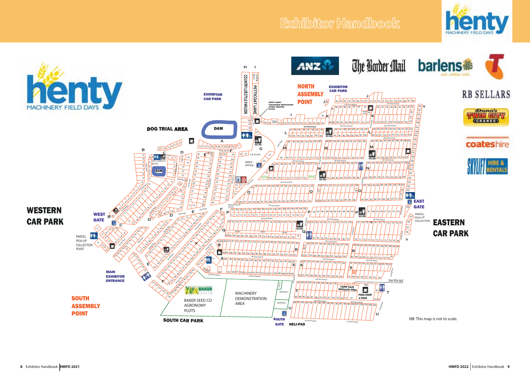# **Exhibitor Handbook**



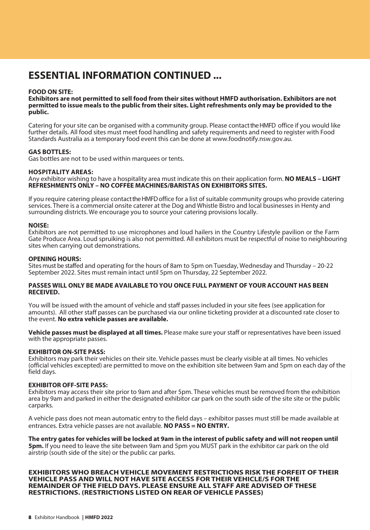# **ESSENTIAL INFORMATION CONTINUED ...**

### **FOOD ON SITE:**

**Exhibitors are not permitted to sell food from their sites without HMFD authorisation. Exhibitors are not permitted to issue meals to the public from their sites. Light refreshments only may be provided to the public.**

Catering for your site can be organised with a community group. Please contact the HMFD office if you would like further details. All food sites must meet food handling and safety requirements and need to register with Food Standards Australia as a temporary food event this can be done at www.foodnotify.nsw.gov.au.

### **GAS BOTTLES:**

Gas bottles are not to be used within marquees or tents.

### **HOSPITALITY AREAS:**

Any exhibitor wishing to have a hospitality area must indicate this on their application form. **NO MEALS – LIGHT REFRESHMENTS ONLY – NO COFFEE MACHINES/BARISTAS ON EXHIBITORS SITES.** 

If you require catering please contactthe HMFD office for a list of suitable community groups who provide catering services. There is a commercial onsite caterer at the Dog and Whistle Bistro and local businesses in Henty and surrounding districts. We encourage you to source your catering provisions locally.

### **NOISE:**

Exhibitors are not permitted to use microphones and loud hailers in the Country Lifestyle pavilion or the Farm Gate Produce Area. Loud spruiking is also not permitted. All exhibitors must be respectful of noise to neighbouring sites when carrying out demonstrations.

### **OPENING HOURS:**

Sites must be staffed and operating for the hours of 8am to 5pm on Tuesday, Wednesday and Thursday – 20-22 September 2022. Sites must remain intact until 5pm on Thursday, 22 September 2022.

### **PASSES WILL ONLY BE MADE AVAILABLE TO YOU ONCE FULL PAYMENT OF YOUR ACCOUNT HAS BEEN RECEIVED.**

You will be issued with the amount of vehicle and staff passes included in your site fees (see application for amounts). All other staff passes can be purchased via our online ticketing provider at a discounted rate closer to the event. **No extra vehicle passes are available.**

**Vehicle passes must be displayed at all times.** Please make sure your staff or representatives have been issued with the appropriate passes.

### **EXHIBITOR ON-SITE PASS:**

Exhibitors may park their vehicles on their site. Vehicle passes must be clearly visible at all times. No vehicles (official vehicles excepted) are permitted to move on the exhibition site between 9am and 5pm on each day of the field days.

### **EXHIBITOR OFF-SITE PASS:**

Exhibitors may access their site prior to 9am and after 5pm. These vehicles must be removed from the exhibition area by 9am and parked in either the designated exhibitor car park on the south side of the site site or the public carparks.

A vehicle pass does not mean automatic entry to the field days – exhibitor passes must still be made available at entrances. Extra vehicle passes are not available. **NO PASS = NO ENTRY.**

**The entry gates for vehicles will be locked at 9am in the interest of public safety and will not reopen until 5pm.** If you need to leave the site between 9am and 5pm you MUST park in the exhibitor car park on the old airstrip (south side of the site) or the public car parks.

**EXHIBITORS WHO BREACH VEHICLE MOVEMENT RESTRICTIONS RISK THE FORFEIT OF THEIR VEHICLE PASS AND WILL NOT HAVE SITE ACCESS FOR THEIR VEHICLE/S FOR THE REMAINDER OF THE FIELD DAYS. PLEASE ENSURE ALL STAFF ARE ADVISED OF THESE RESTRICTIONS. (RESTRICTIONS LISTED ON REAR OF VEHICLE PASSES)**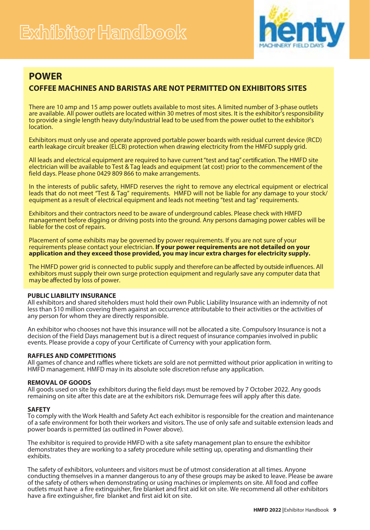

# **POWER**

### **COFFEE MACHINES AND BARISTAS ARE NOT PERMITTED ON EXHIBITORS SITES**

There are 10 amp and 15 amp power outlets available to most sites. A limited number of 3-phase outlets are available. All power outlets are located within 30 metres of most sites. It is the exhibitor's responsibility to provide a single length heavy duty/industrial lead to be used from the power outlet to the exhibitor's location.

Exhibitors must only use and operate approved portable power boards with residual current device (RCD) earth leakage circuit breaker (ELCB) protection when drawing electricity from the HMFD supply grid.

All leads and electrical equipment are required to have current "test and tag" certification. The HMFD site electrician will be available to Test & Tag leads and equipment (at cost) prior to the commencement of the field days. Please phone 0429 809 866 to make arrangements.

In the interests of public safety, HMFD reserves the right to remove any electrical equipment or electrical leads that do not meet "Test & Tag" requirements. HMFD will not be liable for any damage to your stock/ equipment as a result of electrical equipment and leads not meeting "test and tag" requirements.

Exhibitors and their contractors need to be aware of underground cables. Please check with HMFD management before digging or driving posts into the ground. Any persons damaging power cables will be liable for the cost of repairs.

Placement of some exhibits may be governed by power requirements. If you are not sure of your requirements please contact your electrician. **If your power requirements are not detailed on your application and they exceed those provided, you may incur extra charges for electricity supply.**

The HMFD power grid is connected to public supply and therefore can be affected by outside influences. All exhibitors must supply their own surge protection equipment and regularly save any computer data that may be affected by loss of power.

### **PUBLIC LIABILITY INSURANCE**

All exhibitors and shared siteholders must hold their own Public Liability Insurance with an indemnity of not less than \$10 million covering them against an occurrence attributable to their activities or the activities of any person for whom they are directly responsible.

An exhibitor who chooses not have this insurance will not be allocated a site. Compulsory Insurance is not a decision of the Field Days management but is a direct request of insurance companies involved in public events. Please provide a copy of your Certificate of Currency with your application form.

### **RAFFLES AND COMPETITIONS**

All games of chance and raffles where tickets are sold are not permitted without prior application in writing to HMFD management. HMFD may in its absolute sole discretion refuse any application.

### **REMOVAL OF GOODS**

All goods used on site by exhibitors during the field days must be removed by 7 October 2022. Any goods remaining on site after this date are at the exhibitors risk. Demurrage fees will apply after this date.

### **SAFETY**

To comply with the Work Health and Safety Act each exhibitor is responsible for the creation and maintenance of a safe environment for both their workers and visitors. The use of only safe and suitable extension leads and power boards is permitted (as outlined in Power above).

The exhibitor is required to provide HMFD with a site safety management plan to ensure the exhibitor demonstrates they are working to a safety procedure while setting up, operating and dismantling their exhibits.

The safety of exhibitors, volunteers and visitors must be of utmost consideration at all times. Anyone conducting themselves in a manner dangerous to any of these groups may be asked to leave. Please be aware of the safety of others when demonstrating or using machines or implements on site. All food and coffee outlets must have a fire extinguisher, fire blanket and first aid kit on site. We recommend all other exhibitors have a fire extinguisher, fire blanket and first aid kit on site.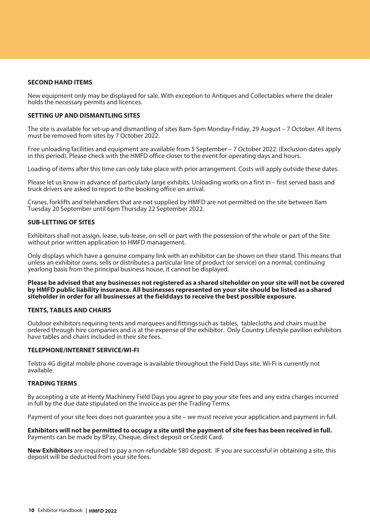### **SECOND HAND ITEMS**

New equipment only may be displayed for sale. With exception to Antiques and Collectables where the dealer holds the necessary permits and licences.

### **SETTING UP AND DISMANTLING SITES**

The site is available for set-up and dismantling of sites 8am-5pm Monday-Friday, 29 August – 7 October. All items must be removed from sites by 7 October 2022.

Free unloading facilities and equipment are available from 5 September – 7 October 2022. (Exclusion dates apply in this period). Please check with the HMFD office closer to the event for operating days and hours.

Loading of items after this time can only take place with prior arrangement. Costs will apply outside these dates.

Please let us know in advance of particularly large exhibits. Unloading works on a first in – first served basis and truck drivers are asked to report to the booking office on arrival.

Cranes, forklifts and telehandlers that are not supplied by HMFD are not permitted on the site between 8am Tuesday 20 September until 6pm Thursday 22 September 2022.

### **SUB-LETTING OF SITES**

Exhibitors shall not assign, lease, sub-lease, on-sell or part with the possession of the whole or part of the Site without prior written application to HMFD management.

Only displays which have a genuine company link with an exhibitor can be shown on their stand. This means that unless an exhibitor owns, sells or distributes a particular line of product (or service) on a normal, continuing yearlong basis from the principal business house, it cannot be displayed.

**Please be advised that any businesses not registered as a shared siteholder on your site will not be covered by HMFD public liability insurance. All businesses represented on your site should be listed as a shared siteholder in order for all businesses at the fi eld days to receive the best possible exposure.**

### **TENTS, TABLES AND CHAIRS**

Outdoor exhibitors requiring tents and marquees and fittings such as tables, tablecloths and chairs must be ordered through hire companies and is at the expense of the exhibitor. Only Country Lifestyle pavilion exhibitors have tables and chairs included in their site fees.

### **TELEPHONE/INTERNET SERVICE/WI-FI**

Telstra 4G digital mobile phone coverage is available throughout the Field Days site. Wi-Fi is currently not available.

### **TRADING TERMS**

By accepting a site at Henty Machinery Field Days you agree to pay your site fees and any extra charges incurred in full by the due date stipulated on the invoice as per the Trading Terms.

Payment of your site fees does not guarantee you a site – we must receive your application and payment in full.

**Exhibitors will not be permitted to occupy a site until the payment of site fees has been received in full.** Payments can be made by BPay, Cheque, direct deposit or Credit Card.

**New Exhibitors** are required to pay a non-refundable \$80 deposit. IF you are successful in obtaining a site, this deposit will be deducted from your site fees.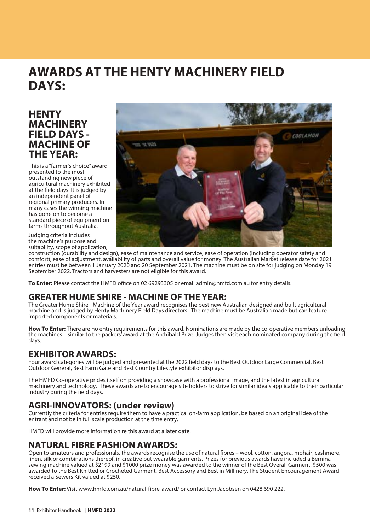# **AWARDS AT THE HENTY MACHINERY FIELD DAYS:**

# **HENTY MACHINERY FIELD DAYS - MACHINE OF THE YEAR:**

This is a "farmer's choice" award presented to the most outstanding new piece of agricultural machinery exhibited at the field days. It is judged by an independent panel of regional primary producers. In many cases the winning machine has gone on to become a standard piece of equipment on farms throughout Australia.

Judging criteria includes the machine's purpose and suitability, scope of application,



construction (durability and design), ease of maintenance and service, ease of operation (including operator safety and comfort), ease of adjustment, availability of parts and overall value for money. The Australian Market release date for 2021 entries must be between 1 January 2020 and 20 September 2021. The machine must be on site for judging on Monday 19 September 2022. Tractors and harvesters are not eligible for this award.

**To Enter:** Please contact the HMFD office on 02 69293305 or email admin@hmfd.com.au for entry details.

## **GREATER HUME SHIRE - MACHINE OF THE YEAR:**

The Greater Hume Shire - Machine of the Year award recognises the best new Australian designed and built agricultural machine and is judged by Henty Machinery Field Days directors. The machine must be Australian made but can feature imported components or materials.

**How To Enter:** There are no entry requirements for this award. Nominations are made by the co-operative members unloading the machines – similar to the packers' award at the Archibald Prize. Judges then visit each nominated company during the field days.

### **EXHIBITOR AWARDS:**

Four award categories will be judged and presented at the 2022 field days to the Best Outdoor Large Commercial, Best Outdoor General, Best Farm Gate and Best Country Lifestyle exhibitor displays.

The HMFD Co-operative prides itself on providing a showcase with a professional image, and the latest in agricultural machinery and technology. These awards are to encourage site holders to strive for similar ideals applicable to their particular industry during the field days.

# **AGRI-INNOVATORS: (under review)**

Currently the criteria for entries require them to have a practical on-farm application, be based on an original idea of the entrant and not be in full scale production at the time entry.

HMFD will provide more information re this award at a later date.

# **NATURAL FIBRE FASHION AWARDS:**

Open to amateurs and professionals, the awards recognise the use of natural fibres – wool, cotton, angora, mohair, cashmere, linen, silk or combinations thereof, in creative but wearable garments. Prizes for previous awards have included a Bernina sewing machine valued at \$2199 and \$1000 prize money was awarded to the winner of the Best Overall Garment. \$500 was awarded to the Best Knitted or Crocheted Garment, Best Accessory and Best in Millinery. The Student Encouragement Award received a Sewers Kit valued at \$250.

How To Enter: Visit www.hmfd.com.au/natural-fibre-award/ or contact Lyn Jacobsen on 0428 690 222.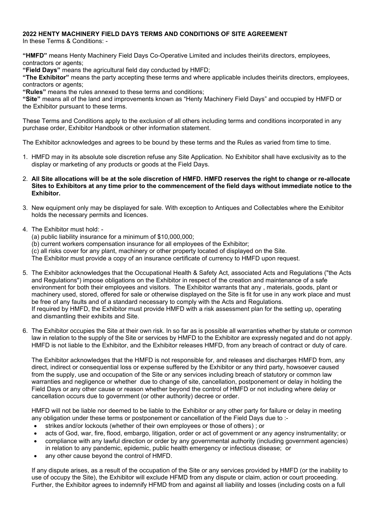### **2022 HENTY MACHINERY FIELD DAYS TERMS AND CONDITIONS OF SITE AGREEMENT**

In these Terms & Conditions: -

**"HMFD"** means Henty Machinery Field Days Co-Operative Limited and includes their\its directors, employees, contractors or agents;

**"Field Days"** means the agricultural field day conducted by HMFD;

**"The Exhibitor"** means the party accepting these terms and where applicable includes their\its directors, employees, contractors or agents;

**"Rules"** means the rules annexed to these terms and conditions;

**"Site"** means all of the land and improvements known as "Henty Machinery Field Days" and occupied by HMFD or the Exhibitor pursuant to these terms.

These Terms and Conditions apply to the exclusion of all others including terms and conditions incorporated in any purchase order, Exhibitor Handbook or other information statement.

The Exhibitor acknowledges and agrees to be bound by these terms and the Rules as varied from time to time.

- 1. HMFD may in its absolute sole discretion refuse any Site Application. No Exhibitor shall have exclusivity as to the display or marketing of any products or goods at the Field Days.
- 2. **All Site allocations will be at the sole discretion of HMFD. HMFD reserves the right to change or re-allocate Sites to Exhibitors at any time prior to the commencement of the field days without immediate notice to the Exhibitor.**
- 3. New equipment only may be displayed for sale. With exception to Antiques and Collectables where the Exhibitor holds the necessary permits and licences.
- 4. The Exhibitor must hold:
	- (a) public liability insurance for a minimum of \$10,000,000;
	- (b) current workers compensation insurance for all employees of the Exhibitor;

(c) all risks cover for any plant, machinery or other property located of displayed on the Site.

The Exhibitor must provide a copy of an insurance certificate of currency to HMFD upon request.

- 5. The Exhibitor acknowledges that the Occupational Health & Safety Act, associated Acts and Regulations ("the Acts and Regulations") impose obligations on the Exhibitor in respect of the creation and maintenance of a safe environment for both their employees and visitors. The Exhibitor warrants that any , materials, goods, plant or machinery used, stored, offered for sale or otherwise displayed on the Site is fit for use in any work place and must be free of any faults and of a standard necessary to comply with the Acts and Regulations. If required by HMFD, the Exhibitor must provide HMFD with a risk assessment plan for the setting up, operating and dismantling their exhibits and Site.
- 6. The Exhibitor occupies the Site at their own risk. In so far as is possible all warranties whether by statute or common law in relation to the supply of the Site or services by HMFD to the Exhibitor are expressly negated and do not apply. HMFD is not liable to the Exhibitor, and the Exhibitor releases HMFD, from any breach of contract or duty of care.

The Exhibitor acknowledges that the HMFD is not responsible for, and releases and discharges HMFD from, any direct, indirect or consequential loss or expense suffered by the Exhibitor or any third party, howsoever caused from the supply, use and occupation of the Site or any services including breach of statutory or common law warranties and negligence or whether due to change of site, cancellation, postponement or delay in holding the Field Days or any other cause or reason whether beyond the control of HMFD or not including where delay or cancellation occurs due to government (or other authority) decree or order.

HMFD will not be liable nor deemed to be liable to the Exhibitor or any other party for failure or delay in meeting any obligation under these terms or postponement or cancellation of the Field Days due to :-

- strikes and/or lockouts (whether of their own employees or those of others) ; or
- acts of God, war, fire, flood, embargo, litigation, order or act of government or any agency instrumentality; or
- compliance with any lawful direction or order by any governmental authority (including government agencies) in relation to any pandemic, epidemic, public health emergency or infectious disease; or
- any other cause beyond the control of HMFD.

If any dispute arises, as a result of the occupation of the Site or any services provided by HMFD (or the inability to use of occupy the Site), the Exhibitor will exclude HFMD from any dispute or claim, action or court proceeding. Further, the Exhibitor agrees to indemnify HFMD from and against all liability and losses (including costs on a full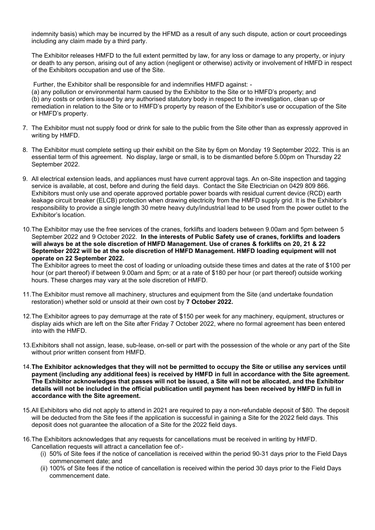indemnity basis) which may be incurred by the HFMD as a result of any such dispute, action or court proceedings including any claim made by a third party.

The Exhibitor releases HMFD to the full extent permitted by law, for any loss or damage to any property, or injury or death to any person, arising out of any action (negligent or otherwise) activity or involvement of HMFD in respect of the Exhibitors occupation and use of the Site.

Further, the Exhibitor shall be responsible for and indemnifies HMFD against: - (a) any pollution or environmental harm caused by the Exhibitor to the Site or to HMFD's property; and (b) any costs or orders issued by any authorised statutory body in respect to the investigation, clean up or remediation in relation to the Site or to HMFD's property by reason of the Exhibitor's use or occupation of the Site or HMFD's property.

- 7. The Exhibitor must not supply food or drink for sale to the public from the Site other than as expressly approved in writing by HMFD.
- 8. The Exhibitor must complete setting up their exhibit on the Site by 6pm on Monday 19 September 2022. This is an essential term of this agreement. No display, large or small, is to be dismantled before 5.00pm on Thursday 22 September 2022.
- 9. All electrical extension leads, and appliances must have current approval tags. An on-Site inspection and tagging service is available, at cost, before and during the field days. Contact the Site Electrician on 0429 809 866. Exhibitors must only use and operate approved portable power boards with residual current device (RCD) earth leakage circuit breaker (ELCB) protection when drawing electricity from the HMFD supply grid. It is the Exhibitor's responsibility to provide a single length 30 metre heavy duty/industrial lead to be used from the power outlet to the Exhibitor's location.
- 10.The Exhibitor may use the free services of the cranes, forklifts and loaders between 9.00am and 5pm between 5 September 2022 and 9 October 2022. **In the interests of Public Safety use of cranes, forklifts and loaders will always be at the sole discretion of HMFD Management. Use of cranes & forklifts on 20, 21 & 22 September 2022 will be at the sole discretion of HMFD Management. HMFD loading equipment will not operate on 22 September 2022.**

The Exhibitor agrees to meet the cost of loading or unloading outside these times and dates at the rate of \$100 per hour (or part thereof) if between 9.00am and 5pm; or at a rate of \$180 per hour (or part thereof) outside working hours. These charges may vary at the sole discretion of HMFD.

- 11.The Exhibitor must remove all machinery, structures and equipment from the Site (and undertake foundation restoration) whether sold or unsold at their own cost by **7 October 2022.**
- 12.The Exhibitor agrees to pay demurrage at the rate of \$150 per week for any machinery, equipment, structures or display aids which are left on the Site after Friday 7 October 2022, where no formal agreement has been entered into with the HMFD.
- 13.Exhibitors shall not assign, lease, sub-lease, on-sell or part with the possession of the whole or any part of the Site without prior written consent from HMFD.
- 14.**The Exhibitor acknowledges that they will not be permitted to occupy the Site or utilise any services until payment (including any additional fees) is received by HMFD in full in accordance with the Site agreement. The Exhibitor acknowledges that passes will not be issued, a Site will not be allocated, and the Exhibitor details will not be included in the official publication until payment has been received by HMFD in full in accordance with the Site agreement.**
- 15.All Exhibitors who did not apply to attend in 2021 are required to pay a non-refundable deposit of \$80. The deposit will be deducted from the Site fees if the application is successful in gaining a Site for the 2022 field days. This deposit does not guarantee the allocation of a Site for the 2022 field days.
- 16.The Exhibitors acknowledges that any requests for cancellations must be received in writing by HMFD. Cancellation requests will attract a cancellation fee of:-
	- (i) 50% of Site fees if the notice of cancellation is received within the period 90-31 days prior to the Field Days commencement date; and
	- (ii) 100% of Site fees if the notice of cancellation is received within the period 30 days prior to the Field Days commencement date.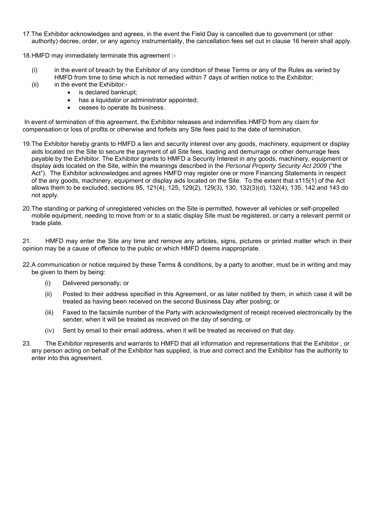17.The Exhibitor acknowledges and agrees, in the event the Field Day is cancelled due to government (or other authority) decree, order, or any agency instrumentality, the cancellation fees set out in clause 16 herein shall apply.

18.HMFD may immediately terminate this agreement :-

- (i) in the event of breach by the Exhibitor of any condition of these Terms or any of the Rules as varied by HMFD from time to time which is not remedied within 7 days of written notice to the Exhibitor;
- $(ii)$  in the event the Exhibitor:-
	- is declared bankrupt:
	- has a liquidator or administrator appointed;
	- ceases to operate its business.

In event of termination of this agreement, the Exhibitor releases and indemnifies HMFD from any claim for compensation or loss of profits or otherwise and forfeits any Site fees paid to the date of termination.

- 19.The Exhibitor hereby grants to HMFD a lien and security interest over any goods, machinery, equipment or display aids located on the Site to secure the payment of all Site fees, loading and demurrage or other demurrage fees payable by the Exhibitor. The Exhibitor grants to HMFD a Security Interest in any goods, machinery, equipment or display aids located on the Site, within the meanings described in the *Personal Property Security Act 2009* ("the Act"). The Exhibitor acknowledges and agrees HMFD may register one or more Financing Statements in respect of the any goods, machinery, equipment or display aids located on the Site. To the extent that s115(1) of the Act allows them to be excluded, sections 95, 121(4), 125, 129(2), 129(3), 130, 132(3)(d), 132(4), 135, 142 and 143 do not apply.
- 20.The standing or parking of unregistered vehicles on the Site is permitted, however all vehicles or self-propelled mobile equipment, needing to move from or to a static display Site must be registered, or carry a relevant permit or trade plate.

21. HMFD may enter the Site any time and remove any articles, signs, pictures or printed matter which in their opinion may be a cause of offence to the public or which HMFD deems inappropriate.

- 22.A communication or notice required by these Terms & conditions, by a party to another, must be in writing and may be given to them by being:
	- (i) Delivered personally; or
	- (ii) Posted to their address specified in this Agreement, or as later notified by them, in which case it will be treated as having been received on the second Business Day after posting; or
	- (iii) Faxed to the facsimile number of the Party with acknowledgment of receipt received electronically by the sender, when it will be treated as received on the day of sending, or
	- (iv) Sent by email to their email address, when it will be treated as received on that day.
- 23. The Exhibitor represents and warrants to HMFD that all information and representations that the Exhibitor , or any person acting on behalf of the Exhibitor has supplied, is true and correct and the Exhibitor has the authority to enter into this agreement.